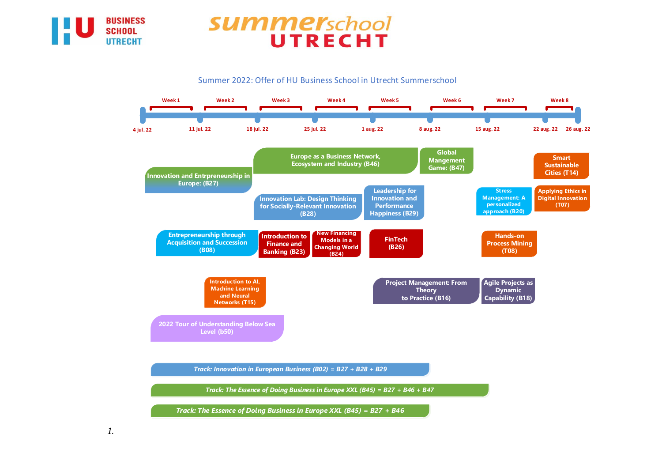

## **summer**school UTRECHT

Summer 2022: Offer of HU Business School in Utrecht Summerschool

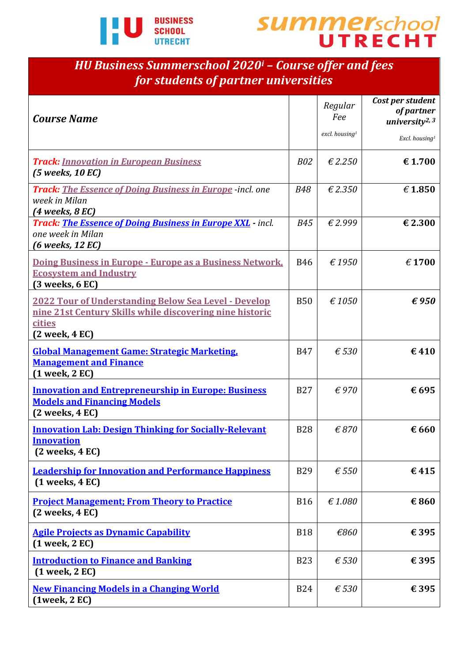![](_page_1_Picture_0.jpeg)

![](_page_1_Picture_1.jpeg)

## *HU Business Summerschool 2020<sup>i</sup> – Course offer and fees for students of partner universities*

| <b>Course Name</b>                                                                                                                                       |            | Regular<br>Fee<br>excl. housing <sup>1</sup> | Cost per student<br>of partner<br>university <sup>2, 3</sup><br>Excl. housing <sup>1</sup> |
|----------------------------------------------------------------------------------------------------------------------------------------------------------|------------|----------------------------------------------|--------------------------------------------------------------------------------------------|
| <b>Track: Innovation in European Business</b><br>$(5$ weeks, 10 EC)                                                                                      | <b>B02</b> | £2.250                                       | € 1.700                                                                                    |
| <b>Track:</b> The Essence of Doing Business in Europe -incl. one<br>week in Milan<br>$(4$ weeks, $8$ EC)                                                 | <b>B48</b> | £2.350                                       | $\epsilon$ 1.850                                                                           |
| <b>Track: The Essence of Doing Business in Europe XXL</b> - incl.<br>one week in Milan<br>$(6$ weeks, 12 EC)                                             | <b>B45</b> | €2.999                                       | € 2.300                                                                                    |
| Doing Business in Europe - Europe as a Business Network,<br><b>Ecosystem and Industry</b><br>$(3$ weeks, $6$ EC)                                         | <b>B46</b> | €1950                                        | $\epsilon$ 1700                                                                            |
| <u> 2022 Tour of Understanding Below Sea Level - Develop</u><br>nine 21st Century Skills while discovering nine historic<br>cities<br>$(2$ week, $4$ EC) | <b>B50</b> | $\epsilon$ 1050                              | $\epsilon$ 950                                                                             |
| <b>Global Management Game: Strategic Marketing,</b><br><b>Management and Finance</b><br>$(1$ week, $2$ EC)                                               | <b>B47</b> | $\epsilon$ 530                               | €410                                                                                       |
| <b>Innovation and Entrepreneurship in Europe: Business</b><br><b>Models and Financing Models</b><br>$(2$ weeks, $4$ EC)                                  | <b>B27</b> | $\epsilon$ 970                               | € 695                                                                                      |
| <b>Innovation Lab: Design Thinking for Socially-Relevant</b><br><b>Innovation</b><br>$(2$ weeks, $4$ EC $)$                                              | <b>B28</b> | $\epsilon$ 870                               | € 660                                                                                      |
| <b>Leadership for Innovation and Performance Happiness</b><br>$(1$ weeks, $4$ EC)                                                                        | <b>B29</b> | $\epsilon$ 550                               | €415                                                                                       |
| <b>Project Management; From Theory to Practice</b><br>$(2$ weeks, $4$ EC)                                                                                | <b>B16</b> | £1.080                                       | €860                                                                                       |
| <b>Agile Projects as Dynamic Capability</b><br>$(1$ week, $2$ EC)                                                                                        | <b>B18</b> | €860                                         | € 395                                                                                      |
| <b>Introduction to Finance and Banking</b><br>$(1$ week, $2$ EC)                                                                                         | <b>B23</b> | $\epsilon$ 530                               | € 395                                                                                      |
| <b>New Financing Models in a Changing World</b><br>$(1$ week, $2$ EC $)$                                                                                 | <b>B24</b> | $\epsilon$ 530                               | € 395                                                                                      |